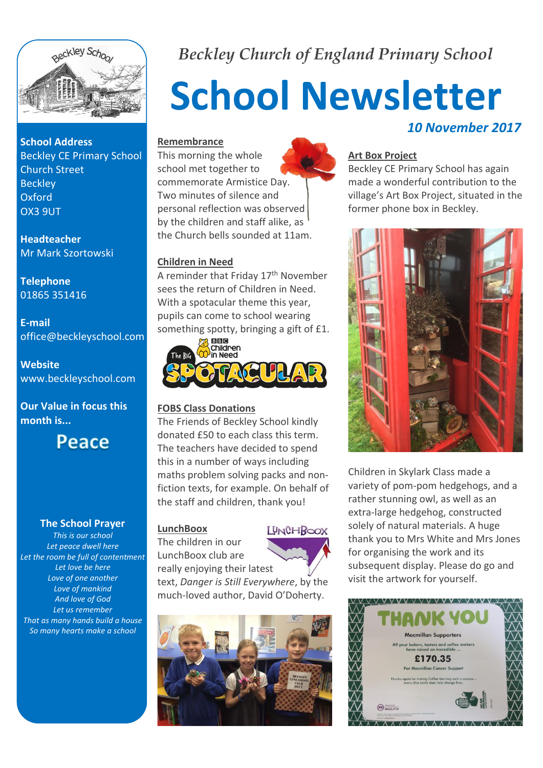

**School Address** Beckley CE Primary School Church Street **Beckley** Oxford OX3 9UT

**Headteacher** Mr Mark Szortowski

**Telephone** 01865 351416

**E-mail** office@beckleyschool.com

**Website** www.beckleyschool.com

**Our Value in focus this month is...**

**Peace** 

#### **The School Prayer**

*This is our school Let peace dwell here Let the room be full of contentment Let love be here Love of one another Love of mankind And love of God Let us remember That as many hands build a house So many hearts make a school*

*Beckley Church of England Primary School*

# **School Newsletter** *10 November 2017*

## **Remembrance**

This morning the whole school met together to commemorate Armistice Day. Two minutes of silence and personal reflection was observed by the children and staff alike, as the Church bells sounded at 11am.

# **Children in Need**

A reminder that Friday 17<sup>th</sup> November sees the return of Children in Need. With a spotacular theme this year, pupils can come to school wearing something spotty, bringing a gift of £1.



# **FOBS Class Donations**

The Friends of Beckley School kindly donated £50 to each class this term. The teachers have decided to spend this in a number of ways including maths problem solving packs and nonfiction texts, for example. On behalf of the staff and children, thank you!

# **LunchBoox**



The children in our LunchBoox club are really enjoying their latest

text, *Danger is Still Everywhere*, by the much-loved author, David O'Doherty.



# **Art Box Project**

Beckley CE Primary School has again made a wonderful contribution to the village's Art Box Project, situated in the former phone box in Beckley.



Children in Skylark Class made a variety of pom-pom hedgehogs, and a rather stunning owl, as well as an extra-large hedgehog, constructed solely of natural materials. A huge thank you to Mrs White and Mrs Jones for organising the work and its subsequent display. Please do go and visit the artwork for yourself.